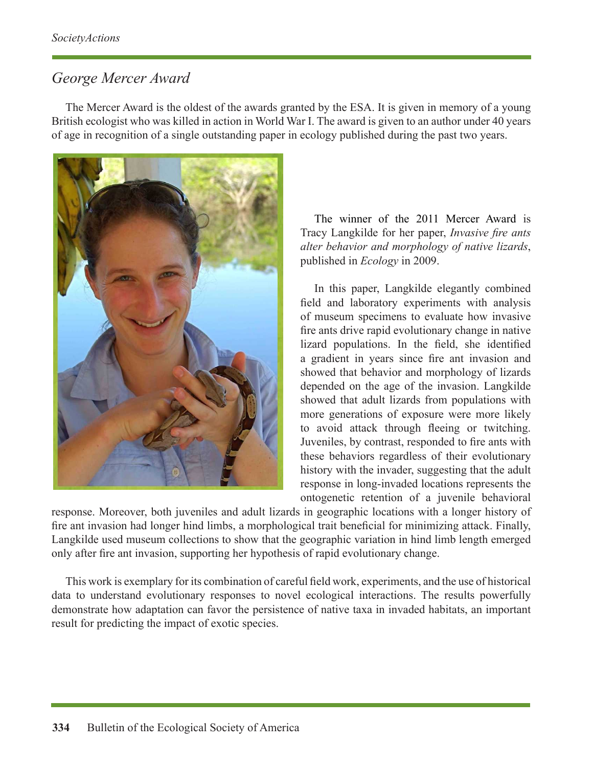## *George Mercer Award*

The Mercer Award is the oldest of the awards granted by the ESA. It is given in memory of a young British ecologist who was killed in action in World War I. The award is given to an author under 40 years of age in recognition of a single outstanding paper in ecology published during the past two years.



The winner of the 2011 Mercer Award is Tracy Langkilde for her paper, *Invasive fire ants alter behavior and morphology of native lizards*, published in *Ecology* in 2009.

In this paper, Langkilde elegantly combined field and laboratory experiments with analysis of museum specimens to evaluate how invasive fire ants drive rapid evolutionary change in native lizard populations. In the field, she identified a gradient in years since fire ant invasion and showed that behavior and morphology of lizards depended on the age of the invasion. Langkilde showed that adult lizards from populations with more generations of exposure were more likely to avoid attack through fleeing or twitching. Juveniles, by contrast, responded to fire ants with these behaviors regardless of their evolutionary history with the invader, suggesting that the adult response in long-invaded locations represents the ontogenetic retention of a juvenile behavioral

response. Moreover, both juveniles and adult lizards in geographic locations with a longer history of fire ant invasion had longer hind limbs, a morphological trait beneficial for minimizing attack. Finally, Langkilde used museum collections to show that the geographic variation in hind limb length emerged only after fire ant invasion, supporting her hypothesis of rapid evolutionary change.

This work is exemplary for its combination of careful field work, experiments, and the use of historical data to understand evolutionary responses to novel ecological interactions. The results powerfully demonstrate how adaptation can favor the persistence of native taxa in invaded habitats, an important result for predicting the impact of exotic species.